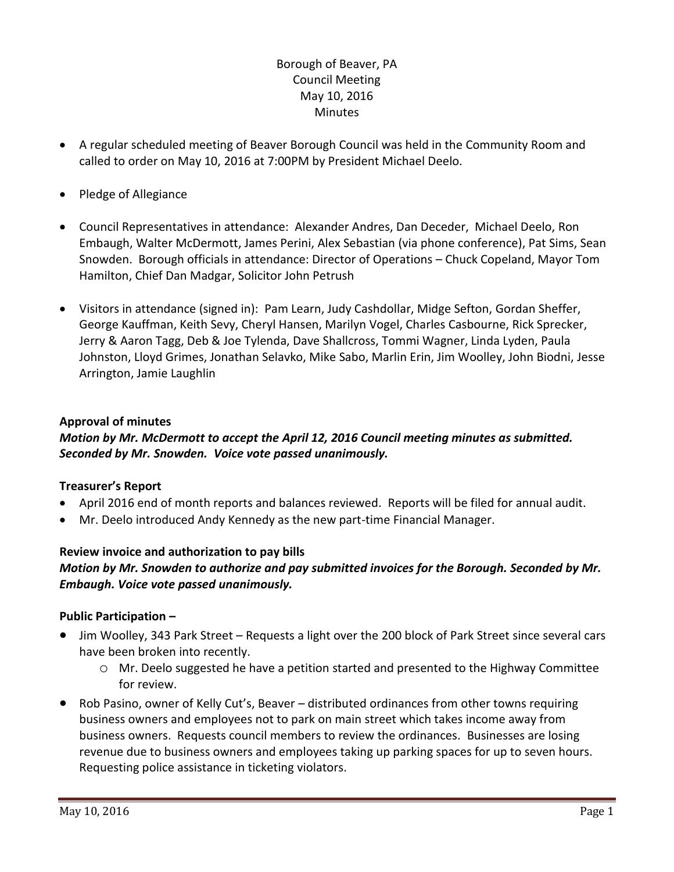## Borough of Beaver, PA Council Meeting May 10, 2016 **Minutes**

- A regular scheduled meeting of Beaver Borough Council was held in the Community Room and called to order on May 10, 2016 at 7:00PM by President Michael Deelo.
- Pledge of Allegiance
- Council Representatives in attendance: Alexander Andres, Dan Deceder, Michael Deelo, Ron Embaugh, Walter McDermott, James Perini, Alex Sebastian (via phone conference), Pat Sims, Sean Snowden. Borough officials in attendance: Director of Operations – Chuck Copeland, Mayor Tom Hamilton, Chief Dan Madgar, Solicitor John Petrush
- Visitors in attendance (signed in): Pam Learn, Judy Cashdollar, Midge Sefton, Gordan Sheffer, George Kauffman, Keith Sevy, Cheryl Hansen, Marilyn Vogel, Charles Casbourne, Rick Sprecker, Jerry & Aaron Tagg, Deb & Joe Tylenda, Dave Shallcross, Tommi Wagner, Linda Lyden, Paula Johnston, Lloyd Grimes, Jonathan Selavko, Mike Sabo, Marlin Erin, Jim Woolley, John Biodni, Jesse Arrington, Jamie Laughlin

### **Approval of minutes**

## *Motion by Mr. McDermott to accept the April 12, 2016 Council meeting minutes as submitted. Seconded by Mr. Snowden. Voice vote passed unanimously.*

#### **Treasurer's Report**

- April 2016 end of month reports and balances reviewed. Reports will be filed for annual audit.
- Mr. Deelo introduced Andy Kennedy as the new part-time Financial Manager.

#### **Review invoice and authorization to pay bills**

## *Motion by Mr. Snowden to authorize and pay submitted invoices for the Borough. Seconded by Mr. Embaugh. Voice vote passed unanimously.*

#### **Public Participation –**

- Jim Woolley, 343 Park Street Requests a light over the 200 block of Park Street since several cars have been broken into recently.
	- o Mr. Deelo suggested he have a petition started and presented to the Highway Committee for review.
- Rob Pasino, owner of Kelly Cut's, Beaver distributed ordinances from other towns requiring business owners and employees not to park on main street which takes income away from business owners. Requests council members to review the ordinances. Businesses are losing revenue due to business owners and employees taking up parking spaces for up to seven hours. Requesting police assistance in ticketing violators.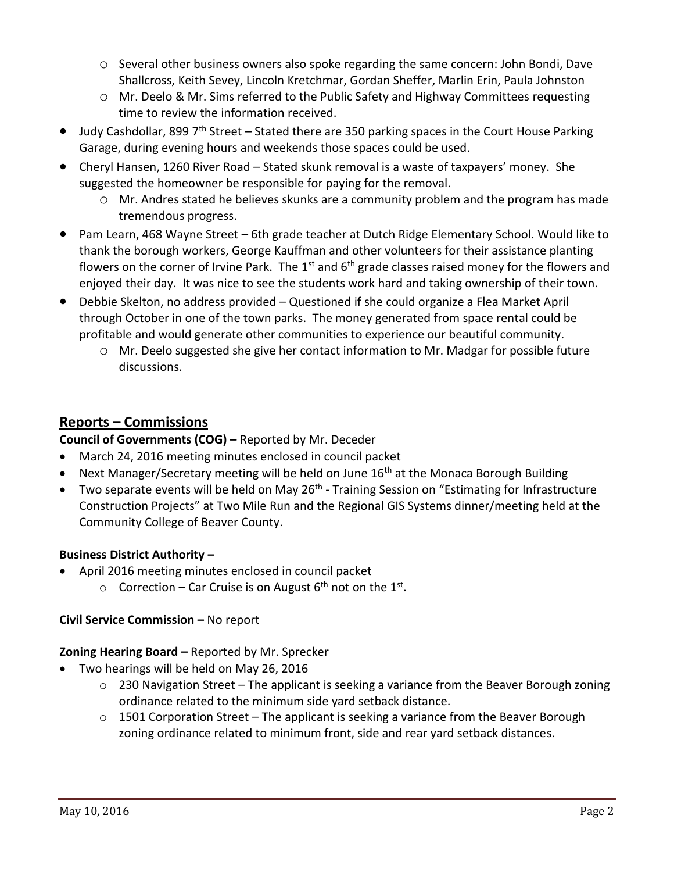- o Several other business owners also spoke regarding the same concern: John Bondi, Dave Shallcross, Keith Sevey, Lincoln Kretchmar, Gordan Sheffer, Marlin Erin, Paula Johnston
- o Mr. Deelo & Mr. Sims referred to the Public Safety and Highway Committees requesting time to review the information received.
- $\bullet$  Judy Cashdollar, 899 7<sup>th</sup> Street Stated there are 350 parking spaces in the Court House Parking Garage, during evening hours and weekends those spaces could be used.
- Cheryl Hansen, 1260 River Road Stated skunk removal is a waste of taxpayers' money. She suggested the homeowner be responsible for paying for the removal.
	- o Mr. Andres stated he believes skunks are a community problem and the program has made tremendous progress.
- Pam Learn, 468 Wayne Street 6th grade teacher at Dutch Ridge Elementary School. Would like to thank the borough workers, George Kauffman and other volunteers for their assistance planting flowers on the corner of Irvine Park. The  $1<sup>st</sup>$  and  $6<sup>th</sup>$  grade classes raised money for the flowers and enjoyed their day. It was nice to see the students work hard and taking ownership of their town.
- Debbie Skelton, no address provided Questioned if she could organize a Flea Market April through October in one of the town parks. The money generated from space rental could be profitable and would generate other communities to experience our beautiful community.
	- o Mr. Deelo suggested she give her contact information to Mr. Madgar for possible future discussions.

# **Reports – Commissions**

**Council of Governments (COG) –** Reported by Mr. Deceder

- March 24, 2016 meeting minutes enclosed in council packet
- Next Manager/Secretary meeting will be held on June  $16<sup>th</sup>$  at the Monaca Borough Building
- $\bullet$  Two separate events will be held on May 26<sup>th</sup> Training Session on "Estimating for Infrastructure Construction Projects" at Two Mile Run and the Regional GIS Systems dinner/meeting held at the Community College of Beaver County.

## **Business District Authority –**

- April 2016 meeting minutes enclosed in council packet
	- $\circ$  Correction Car Cruise is on August 6<sup>th</sup> not on the 1<sup>st</sup>.

## **Civil Service Commission –** No report

## **Zoning Hearing Board –** Reported by Mr. Sprecker

- Two hearings will be held on May 26, 2016
	- $\circ$  230 Navigation Street The applicant is seeking a variance from the Beaver Borough zoning ordinance related to the minimum side yard setback distance.
	- $\circ$  1501 Corporation Street The applicant is seeking a variance from the Beaver Borough zoning ordinance related to minimum front, side and rear yard setback distances.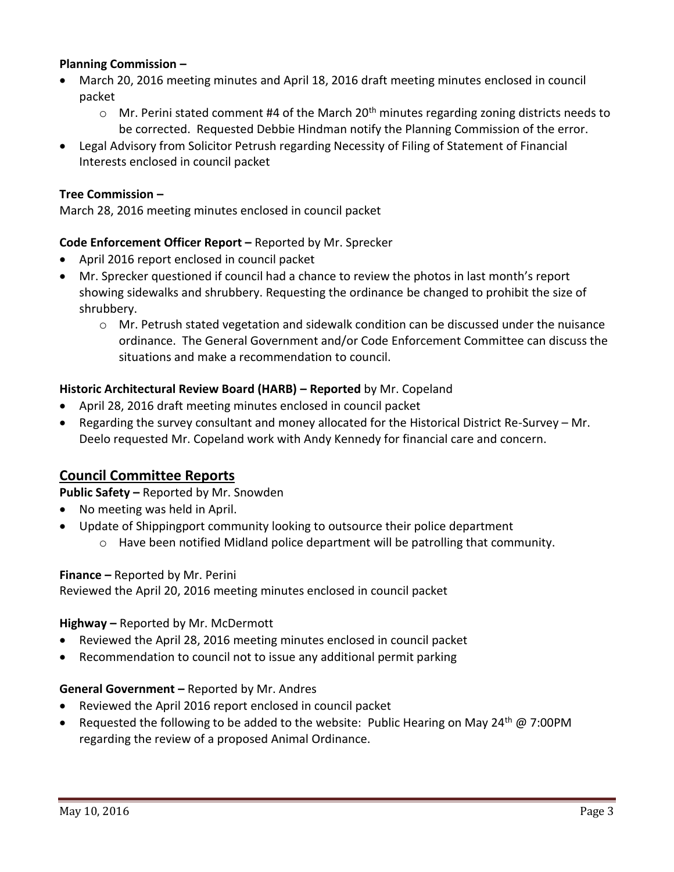### **Planning Commission –**

- March 20, 2016 meeting minutes and April 18, 2016 draft meeting minutes enclosed in council packet
	- $\circ$  Mr. Perini stated comment #4 of the March 20<sup>th</sup> minutes regarding zoning districts needs to be corrected. Requested Debbie Hindman notify the Planning Commission of the error.
- Legal Advisory from Solicitor Petrush regarding Necessity of Filing of Statement of Financial Interests enclosed in council packet

### **Tree Commission –**

March 28, 2016 meeting minutes enclosed in council packet

### **Code Enforcement Officer Report –** Reported by Mr. Sprecker

- April 2016 report enclosed in council packet
- Mr. Sprecker questioned if council had a chance to review the photos in last month's report showing sidewalks and shrubbery. Requesting the ordinance be changed to prohibit the size of shrubbery.
	- $\circ$  Mr. Petrush stated vegetation and sidewalk condition can be discussed under the nuisance ordinance. The General Government and/or Code Enforcement Committee can discuss the situations and make a recommendation to council.

#### **Historic Architectural Review Board (HARB) – Reported** by Mr. Copeland

- April 28, 2016 draft meeting minutes enclosed in council packet
- Regarding the survey consultant and money allocated for the Historical District Re-Survey Mr. Deelo requested Mr. Copeland work with Andy Kennedy for financial care and concern.

## **Council Committee Reports**

#### **Public Safety –** Reported by Mr. Snowden

- No meeting was held in April.
- Update of Shippingport community looking to outsource their police department
	- $\circ$  Have been notified Midland police department will be patrolling that community.

#### **Finance –** Reported by Mr. Perini

Reviewed the April 20, 2016 meeting minutes enclosed in council packet

#### **Highway –** Reported by Mr. McDermott

- Reviewed the April 28, 2016 meeting minutes enclosed in council packet
- Recommendation to council not to issue any additional permit parking

#### **General Government –** Reported by Mr. Andres

- Reviewed the April 2016 report enclosed in council packet
- **•** Requested the following to be added to the website: Public Hearing on May 24<sup>th</sup> @ 7:00PM regarding the review of a proposed Animal Ordinance.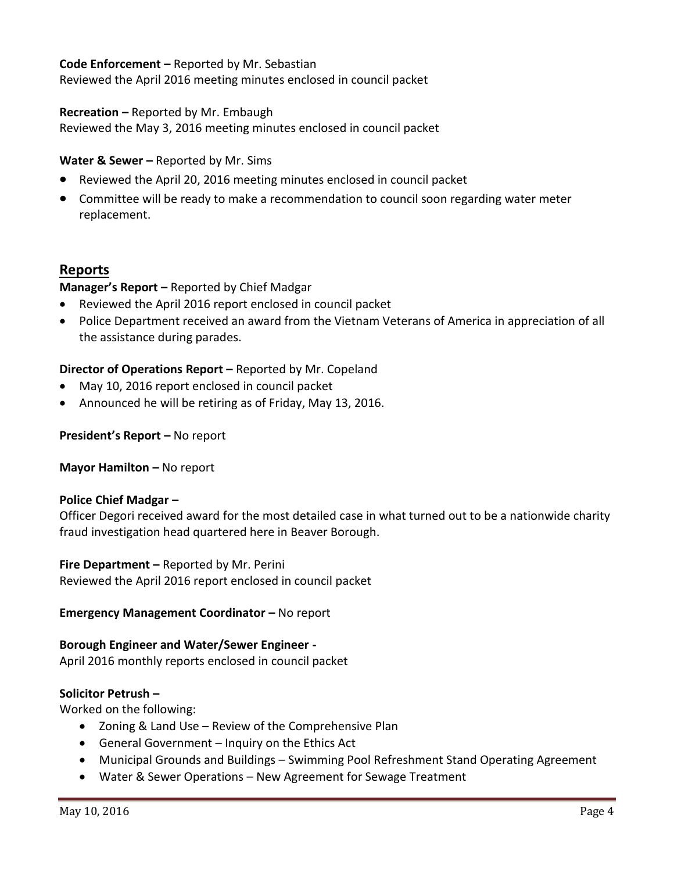### **Code Enforcement –** Reported by Mr. Sebastian

Reviewed the April 2016 meeting minutes enclosed in council packet

#### **Recreation –** Reported by Mr. Embaugh

Reviewed the May 3, 2016 meeting minutes enclosed in council packet

#### **Water & Sewer –** Reported by Mr. Sims

- Reviewed the April 20, 2016 meeting minutes enclosed in council packet
- Committee will be ready to make a recommendation to council soon regarding water meter replacement.

## **Reports**

### **Manager's Report –** Reported by Chief Madgar

- Reviewed the April 2016 report enclosed in council packet
- Police Department received an award from the Vietnam Veterans of America in appreciation of all the assistance during parades.

### **Director of Operations Report –** Reported by Mr. Copeland

- May 10, 2016 report enclosed in council packet
- Announced he will be retiring as of Friday, May 13, 2016.

### **President's Report –** No report

**Mayor Hamilton – No report** 

#### **Police Chief Madgar –**

Officer Degori received award for the most detailed case in what turned out to be a nationwide charity fraud investigation head quartered here in Beaver Borough.

**Fire Department –** Reported by Mr. Perini Reviewed the April 2016 report enclosed in council packet

#### **Emergency Management Coordinator – No report**

#### **Borough Engineer and Water/Sewer Engineer -**

April 2016 monthly reports enclosed in council packet

#### **Solicitor Petrush –**

Worked on the following:

- Zoning & Land Use Review of the Comprehensive Plan
- General Government Inquiry on the Ethics Act
- Municipal Grounds and Buildings Swimming Pool Refreshment Stand Operating Agreement
- Water & Sewer Operations New Agreement for Sewage Treatment